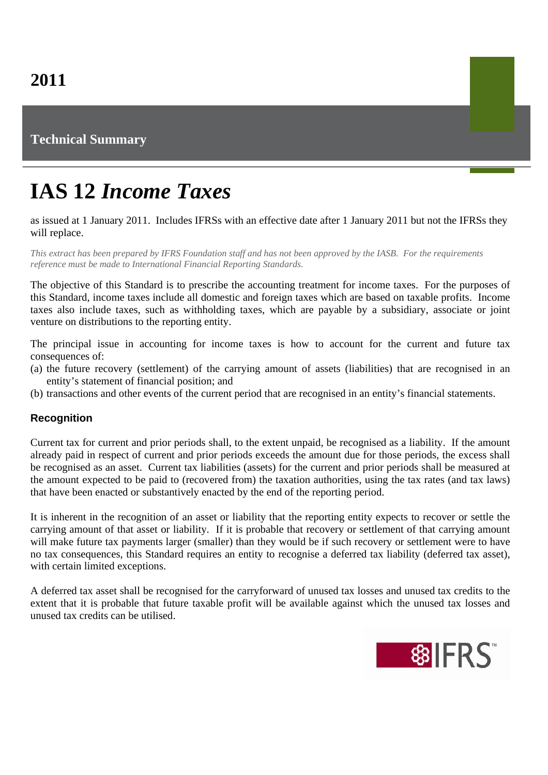# **Technical Summary**

# **IAS 12** *Income Taxes*

as issued at 1 January 2011. Includes IFRSs with an effective date after 1 January 2011 but not the IFRSs they will replace.

*This extract has been prepared by IFRS Foundation staff and has not been approved by the IASB. For the requirements reference must be made to International Financial Reporting Standards.*

The objective of this Standard is to prescribe the accounting treatment for income taxes. For the purposes of this Standard, income taxes include all domestic and foreign taxes which are based on taxable profits. Income taxes also include taxes, such as withholding taxes, which are payable by a subsidiary, associate or joint venture on distributions to the reporting entity.

The principal issue in accounting for income taxes is how to account for the current and future tax consequences of:

- (a) the future recovery (settlement) of the carrying amount of assets (liabilities) that are recognised in an entity's statement of financial position; and
- (b) transactions and other events of the current period that are recognised in an entity's financial statements.

## **Recognition**

Current tax for current and prior periods shall, to the extent unpaid, be recognised as a liability. If the amount already paid in respect of current and prior periods exceeds the amount due for those periods, the excess shall be recognised as an asset. Current tax liabilities (assets) for the current and prior periods shall be measured at the amount expected to be paid to (recovered from) the taxation authorities, using the tax rates (and tax laws) that have been enacted or substantively enacted by the end of the reporting period.

It is inherent in the recognition of an asset or liability that the reporting entity expects to recover or settle the carrying amount of that asset or liability. If it is probable that recovery or settlement of that carrying amount will make future tax payments larger (smaller) than they would be if such recovery or settlement were to have no tax consequences, this Standard requires an entity to recognise a deferred tax liability (deferred tax asset), with certain limited exceptions.

A deferred tax asset shall be recognised for the carryforward of unused tax losses and unused tax credits to the extent that it is probable that future taxable profit will be available against which the unused tax losses and unused tax credits can be utilised.